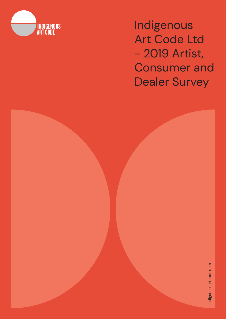

Indigenous Art Code Ltd - 2019 Artist, Consumer and Dealer Survey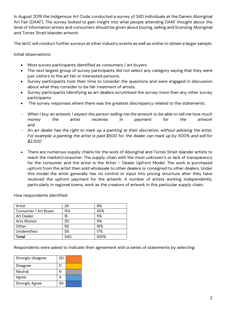In August 2019 the Indigenous Art Code conducted a survey of 340 individuals at the Darwin Aboriginal Art Fair (DAAF). The survey looked to gain insight into what people attending DAAF thought about the level of information artists and consumers should be given about buying, selling and licensing Aboriginal and Torres Strait Islander artwork.

The IartC will conduct further surveys at other industry events as well as online to obtain a larger sample.

Initial observations:

- Most survey participants identified as consumers / art buyers
- The next largest group of survey participants did not select any category saying that they were just visitors to the art fair or interested persons.
- Survey participants took their time to consider the questions and were engaged in discussion about what they consider to be fair treatment of artists.
- Survey participants identifying as art dealers scrutinised the survey more than any other survey participants.
- The survey responses where there was the greatest discrepancy related to the statements:
- *When I buy an artwork, I expect the person selling me the artwork to be able to tell me how much money the artist receives in payment for the artwork* and
- *An art dealer has the right to mark up a painting at their discretion, without advising the artist. For example: a painting the artist is paid \$500 for, the dealer can mark up by 500% and sell for \$2,500*
- There are numerous supply chains for the work of Aboriginal and Torres Strait Islander artists to reach the market/consumer. The supply chain with the most unknown's or lack of transparency for the consumer and the artist is the Artist – Dealer Upfront Model. The work is purchased upfront from the artist then sold wholesale to other dealers or consigned to other dealers. Under this model the artist generally has no control or input into pricing structure after they have received the upfront payment for the artwork. A number of artists working independently, particularly in regional towns, work as the creators of artwork in this particular supply chain.

How respondents identified

| Artist               | 26  | 8%   |
|----------------------|-----|------|
| Consumer / Art Buyer | 154 | 45%  |
| <b>Art Dealer</b>    | 16  | 5%   |
| Arts Worker          | 30  | 9%   |
| Other                | 56  | 16%  |
| Unidentified         | 58  | 17%  |
| Total                | 340 | 100% |

Respondents were asked to indicate their agreement with a series of statements by selecting:

| Strongly disagree     | <b>SD</b> |  |
|-----------------------|-----------|--|
| Disagree              | D         |  |
| Neutral               | Ν         |  |
| Agree                 |           |  |
| <b>Strongly Agree</b> | SА        |  |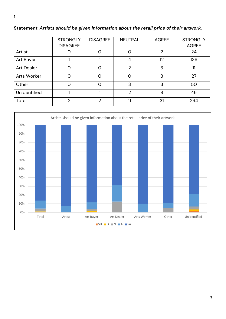|                     | <b>STRONGLY</b><br><b>DISAGREE</b> | <b>DISAGREE</b> | <b>NEUTRAL</b> | <b>AGREE</b>   | <b>STRONGLY</b><br><b>AGREE</b> |
|---------------------|------------------------------------|-----------------|----------------|----------------|---------------------------------|
| Artist              |                                    | 0               | O              | $\overline{2}$ | 24                              |
| Art Buyer           |                                    |                 | 4              | 12             | 136                             |
| <b>Art Dealer</b>   | ∩                                  | Ω               | $\overline{2}$ | 3              | 11                              |
| Arts Worker         | ∩                                  | $\Omega$        | ∩              | 3              | 27                              |
| Other               | ∩                                  | O               | 3              | 3              | 50                              |
| <b>Unidentified</b> |                                    |                 | $\overline{2}$ | 8              | 46                              |
| Total               | $\mathcal{P}$                      | $\overline{2}$  | 11             | 31             | 294                             |

## **Statement:** *Artists should be given information about the retail price of their artwork.*

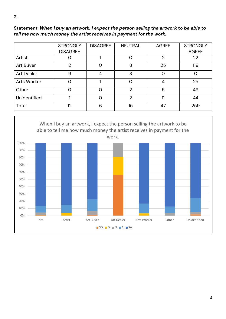**Statement:** *When I buy an artwork, I expect the person selling the artwork to be able to tell me how much money the artist receives in payment for the work.* 

|                   | <b>STRONGLY</b><br><b>DISAGREE</b> | <b>DISAGREE</b> | <b>NEUTRAL</b>   | <b>AGREE</b>   | <b>STRONGLY</b><br><b>AGREE</b> |
|-------------------|------------------------------------|-----------------|------------------|----------------|---------------------------------|
| Artist            |                                    |                 | O                | $\overline{2}$ | 22                              |
| Art Buyer         | $\overline{2}$                     | $\Omega$        | 8                | 25             | 119                             |
| <b>Art Dealer</b> | 9                                  | 4               | 3                | 0              | O                               |
| Arts Worker       | Ω                                  |                 | $\circ$          | 4              | 25                              |
| Other             |                                    | $\Omega$        | $\overline{2}$   | 5              | 49                              |
| Unidentified      |                                    | $\Omega$        | $\overline{2}$   | 11             | 44                              |
| Total             | 12                                 | 6               | 15 <sup>15</sup> | 47             | 259                             |

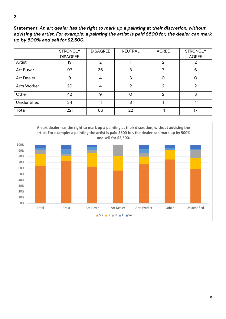**Statement:** *An art dealer has the right to mark up a painting at their discretion, without advising the artist. For example: a painting the artist is paid \$500 for, the dealer can mark up by 500% and sell for \$2,500.*

|                   | <b>STRONGLY</b><br><b>DISAGREE</b> | <b>DISAGREE</b> | <b>NEUTRAL</b> | <b>AGREE</b>   | <b>STRONGLY</b><br><b>AGREE</b> |
|-------------------|------------------------------------|-----------------|----------------|----------------|---------------------------------|
| Artist            | 19                                 | $\overline{2}$  |                | $\overline{2}$ | 2                               |
| Art Buyer         | 97                                 | 36              | 8              |                | 6                               |
| <b>Art Dealer</b> | 9                                  | 4               | 3              | $\mathcal{O}$  | $\circ$                         |
| Arts Worker       | 20                                 | 4               | $\overline{2}$ | $\overline{2}$ | $\overline{2}$                  |
| Other             | 42                                 | 9               | $\Omega$       | $\overline{2}$ | 3                               |
| Unidentified      | 34                                 | 11              | 8              |                | 4                               |
| Total             | 221                                | 66              | 22             | 14             | 17                              |

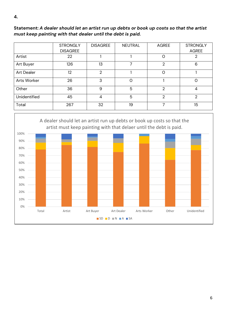## **Statement:** *A dealer should let an artist run up debts or book up costs so that the artist must keep painting with that dealer until the debt is paid.*

|                   | <b>STRONGLY</b><br><b>DISAGREE</b> | <b>DISAGREE</b> | <b>NEUTRAL</b> | <b>AGREE</b>   | <b>STRONGLY</b><br><b>AGREE</b> |
|-------------------|------------------------------------|-----------------|----------------|----------------|---------------------------------|
| Artist            | 22                                 |                 |                | $\mathcal{O}$  | 2                               |
| Art Buyer         | 126                                | 13              | 7              | 2              | 6                               |
| <b>Art Dealer</b> | 12                                 | $\overline{2}$  |                | $\mathcal{O}$  |                                 |
| Arts Worker       | 26                                 | 3               | $\Omega$       |                | $\Omega$                        |
| Other             | 36                                 | 9               | 5              | 2              | 4                               |
| Unidentified      | 45                                 | 4               | 5              | $\overline{2}$ | $\mathfrak{D}$                  |
| Total             | 267                                | 32              | 19             | 7              | 15                              |

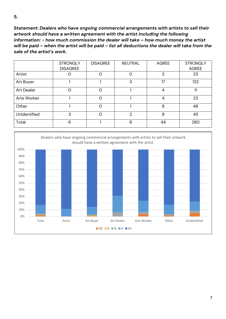**Statement:** *Dealers who have ongoing commercial arrangements with artists to sell their artwork should have a written agreement with the artist including the following information: - how much commission the dealer will take – how much money the artist will be paid – when the artist will be paid – list all deductions the dealer will take from the sale of the artist's work.*

|                   | <b>STRONGLY</b><br><b>DISAGREE</b> | <b>DISAGREE</b> | <b>NEUTRAL</b> | <b>AGREE</b>   | <b>STRONGLY</b><br><b>AGREE</b> |
|-------------------|------------------------------------|-----------------|----------------|----------------|---------------------------------|
| Artist            |                                    | $\Omega$        | Ω              | 3              | 23                              |
| Art Buyer         |                                    |                 | 3              | 17             | 132                             |
| <b>Art Dealer</b> | Ω                                  | Ω               |                | $\overline{4}$ | 11                              |
| Arts Worker       |                                    | $\Omega$        |                | $\overline{4}$ | 23                              |
| Other             |                                    | $\Omega$        |                | 8              | 46                              |
| Unidentified      | 3                                  | $\Omega$        | 2              | 8              | 45                              |
| Total             | 6                                  |                 | 8              | 44             | 280                             |

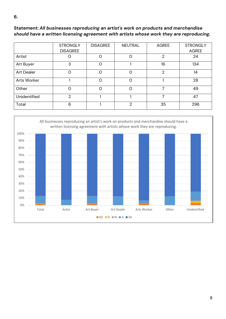## **Statement:** *All businesses reproducing an artist's work on products and merchandise should have a written licensing agreement with artists whose work they are reproducing.*

|                   | <b>STRONGLY</b><br><b>DISAGREE</b> | <b>DISAGREE</b> | <b>NEUTRAL</b> | <b>AGREE</b>   | <b>STRONGLY</b><br><b>AGREE</b> |
|-------------------|------------------------------------|-----------------|----------------|----------------|---------------------------------|
| Artist            |                                    | $\circ$         | O              | 2              | 24                              |
| Art Buyer         | 3                                  | $\Omega$        |                | 16             | 134                             |
| <b>Art Dealer</b> | 0                                  | $\circ$         | 0              | $\overline{2}$ | 14                              |
| Arts Worker       |                                    | $\circ$         | $\circ$        |                | 28                              |
| Other             | ი                                  | $\Omega$        | $\Omega$       | ᄀ              | 49                              |
| Unidentified      | 2                                  |                 |                | 7              | 47                              |
| Total             | 6                                  |                 | $\overline{2}$ | 35             | 296                             |